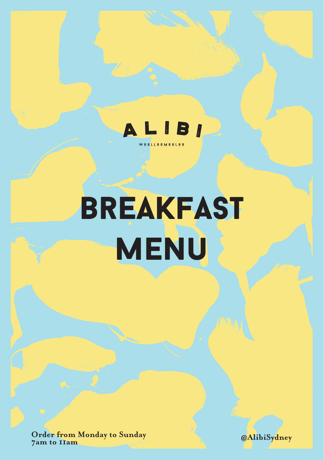

# breakfast MENU

**Order from Monday to Sunday 7am to 11am**

**@AlibiSydney**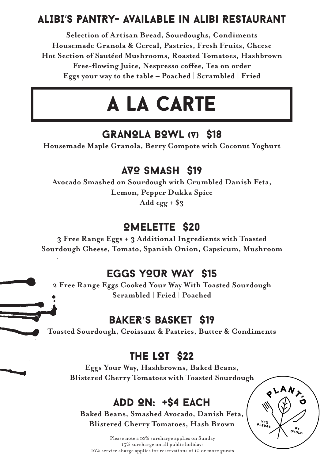# ALIBI'S PANTRY- Available in Alibi Restaurant

**Selection of Artisan Bread, Sourdoughs, Condiments Housemade Granola & Cereal, Pastries, Fresh Fruits, Cheese Hot Section of Sautéed Mushrooms, Roasted Tomatoes, Hashbrown Free-flowing Juice, Nespresso coffee, Tea on order Eggs your way to the table – Poached | Scrambled | Fried**

# a la carte

#### GRANOLA BOWL (V) \$18

**Housemade Maple Granola, Berry Compote with Coconut Yoghurt**

#### AVO SMASH \$19

**Avocado Smashed on Sourdough with Crumbled Danish Feta, Lemon, Pepper Dukka Spice Add egg + \$3**

#### OMELETTE \$20

**3 Free Range Eggs + 3 Additional Ingredients with Toasted Sourdough Cheese, Tomato, Spanish Onion, Capsicum, Mushroom**

### EGGS YOUR WAY \$15

**2 Free Range Eggs Cooked Your Way With Toasted Sourdough Scrambled | Fried | Poached**

# BAKER**'**S BASKET \$19

**Toasted Sourdough, Croissant & Pastries, Butter & Condiments**

# THE LOT \$22

**Eggs Your Way, Hashbrowns, Baked Beans, Blistered Cherry Tomatoes with Toasted Sourdough**

# ADD ON: +\$4 EACH

**Baked Beans, Smashed Avocado, Danish Feta, Blistered Cherry Tomatoes, Hash Brown**

 $8LAM$ PLEDS

Please note a 10% surcharge applies on Sunday 15% surcharge on all public holidays 10% service charge applies for reservations of 10 or more guests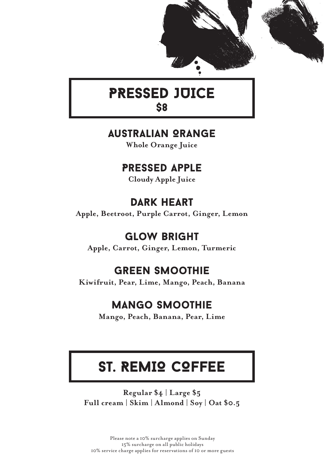



# PRESSED JUICE \$8

# Australian Orange

**Whole Orange Juice**

# Pressed Apple

**Cloudy Apple Juice**

# DARK HEART

**Apple, Beetroot, Purple Carrot, Ginger, Lemon**

# Glow Bright

**Apple, Carrot, Ginger, Lemon, Turmeric**

# Green Smoothie

Kiwifruit, Pear, Lime, Mango, Peach, Banana

# Mango Smoothie

**Mango, Peach, Banana, Pear, Lime**

# ST. REMIQ COFFEE

**Regular \$4 | Large \$5 Full cream | Skim | Almond | Soy | Oat \$0.5**

Please note a 10% surcharge applies on Sunday 15% surcharge on all public holidays 10% service charge applies for reservations of 10 or more guests